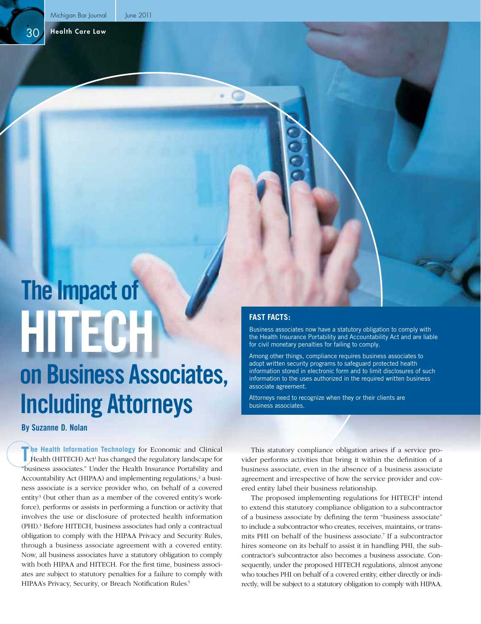Health Care Law

30

# **HITECH on Business Associates, Including Attorneys The Impact of**

**By Suzanne D. Nolan**

**The Health Information Technology** for Economic and Clinical Health (HITECH) Act<sup>1</sup> has changed the regulatory landscape for **he Health Information Technology** for Economic and Clinical "business associates." Under the Health Insurance Portability and Accountability Act (HIPAA) and implementing regulations, $2$  a business associate is a service provider who, on behalf of a covered entity<sup>3</sup> (but other than as a member of the covered entity's workforce), performs or assists in performing a function or activity that involves the use or disclosure of protected health information (PHI).4 Before HITECH, business associates had only a contractual obligation to comply with the HIPAA Privacy and Security Rules, through a business associate agreement with a covered entity. Now, all business associates have a statutory obligation to comply with both HIPAA and HITECH. For the first time, business associates are subject to statutory penalties for a failure to comply with HIPAA's Privacy, Security, or Breach Notification Rules.<sup>5</sup>

## **FAST FACTS:**

Business associates now have a statutory obligation to comply with the Health Insurance Portability and Accountability Act and are liable for civil monetary penalties for failing to comply.

Among other things, compliance requires business associates to adopt written security programs to safeguard protected health information stored in electronic form and to limit disclosures of such information to the uses authorized in the required written business associate agreement.

Attorneys need to recognize when they or their clients are business associates.

This statutory compliance obligation arises if a service provider performs activities that bring it within the definition of a business associate, even in the absence of a business associate agreement and irrespective of how the service provider and covered entity label their business relationship.

The proposed implementing regulations for HITECH<sup>6</sup> intend to extend this statutory compliance obligation to a subcontractor of a business associate by defining the term "business associate" to include a subcontractor who creates, receives, maintains, or transmits PHI on behalf of the business associate.7 If a subcontractor hires someone on its behalf to assist it in handling PHI, the subcontractor's subcontractor also becomes a business associate. Consequently, under the proposed HITECH regulations, almost anyone who touches PHI on behalf of a covered entity, either directly or indirectly, will be subject to a statutory obligation to comply with HIPAA.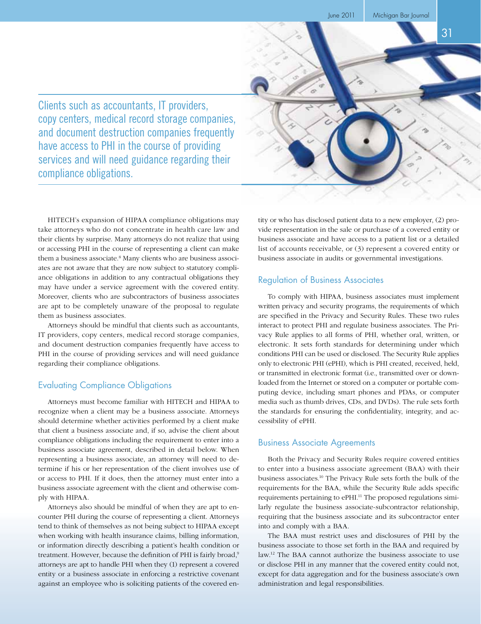31

Clients such as accountants, IT providers, copy centers, medical record storage companies, and document destruction companies frequently have access to PHI in the course of providing services and will need guidance regarding their compliance obligations.

HITECH's expansion of HIPAA compliance obligations may take attorneys who do not concentrate in health care law and their clients by surprise. Many attorneys do not realize that using or accessing PHI in the course of representing a client can make them a business associate.<sup>8</sup> Many clients who are business associates are not aware that they are now subject to statutory compliance obligations in addition to any contractual obligations they may have under a service agreement with the covered entity. Moreover, clients who are subcontractors of business associates are apt to be completely unaware of the proposal to regulate them as business associates.

Attorneys should be mindful that clients such as accountants, IT providers, copy centers, medical record storage companies, and document destruction companies frequently have access to PHI in the course of providing services and will need guidance regarding their compliance obligations.

# Evaluating Compliance Obligations

Attorneys must become familiar with HITECH and HIPAA to recognize when a client may be a business associate. Attorneys should determine whether activities performed by a client make that client a business associate and, if so, advise the client about compliance obligations including the requirement to enter into a business associate agreement, described in detail below. When representing a business associate, an attorney will need to determine if his or her representation of the client involves use of or access to PHI. If it does, then the attorney must enter into a business associate agreement with the client and otherwise comply with HIPAA.

Attorneys also should be mindful of when they are apt to encounter PHI during the course of representing a client. Attorneys tend to think of themselves as not being subject to HIPAA except when working with health insurance claims, billing information, or information directly describing a patient's health condition or treatment. However, because the definition of PHI is fairly broad,<sup>9</sup> attorneys are apt to handle PHI when they (1) represent a covered entity or a business associate in enforcing a restrictive covenant against an employee who is soliciting patients of the covered entity or who has disclosed patient data to a new employer, (2) provide representation in the sale or purchase of a covered entity or business associate and have access to a patient list or a detailed list of accounts receivable, or (3) represent a covered entity or business associate in audits or governmental investigations.

## Regulation of Business Associates

To comply with HIPAA, business associates must implement written privacy and security programs, the requirements of which are specified in the Privacy and Security Rules. These two rules interact to protect PHI and regulate business associates. The Privacy Rule applies to all forms of PHI, whether oral, written, or electronic. It sets forth standards for determining under which conditions PHI can be used or disclosed. The Security Rule applies only to electronic PHI (ePHI), which is PHI created, received, held, or transmitted in electronic format (i.e., transmitted over or downloaded from the Internet or stored on a computer or portable computing device, including smart phones and PDAs, or computer media such as thumb drives, CDs, and DVDs). The rule sets forth the standards for ensuring the confidentiality, integrity, and accessibility of ePHI.

#### Business Associate Agreements

Both the Privacy and Security Rules require covered entities to enter into a business associate agreement (BAA) with their business associates.10 The Privacy Rule sets forth the bulk of the requirements for the BAA, while the Security Rule adds specific requirements pertaining to ePHI.<sup>11</sup> The proposed regulations similarly regulate the business associate-subcontractor relationship, requiring that the business associate and its subcontractor enter into and comply with a BAA.

The BAA must restrict uses and disclosures of PHI by the business associate to those set forth in the BAA and required by law.12 The BAA cannot authorize the business associate to use or disclose PHI in any manner that the covered entity could not, except for data aggregation and for the business associate's own administration and legal responsibilities.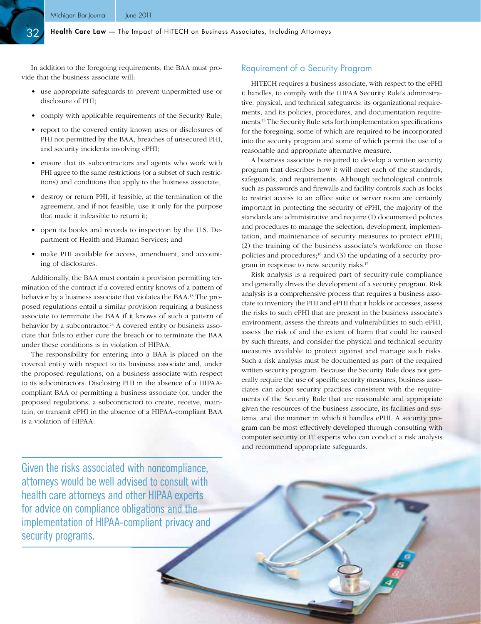32

In addition to the foregoing requirements, the BAA must provide that the business associate will:

- use appropriate safeguards to prevent unpermitted use or disclosure of PHI;
- comply with applicable requirements of the Security Rule;
- report to the covered entity known uses or disclosures of PHI not permitted by the BAA, breaches of unsecured PHI, and security incidents involving ePHI;
- ensure that its subcontractors and agents who work with PHI agree to the same restrictions (or a subset of such restrictions) and conditions that apply to the business associate;
- destroy or return PHI, if feasible, at the termination of the agreement, and if not feasible, use it only for the purpose that made it infeasible to return it;
- open its books and records to inspection by the U.S. Department of Health and Human Services; and
- make PHI available for access, amendment, and accounting of disclosures.

Additionally, the BAA must contain a provision permitting termination of the contract if a covered entity knows of a pattern of behavior by a business associate that violates the BAA.13 The proposed regulations entail a similar provision requiring a business associate to terminate the BAA if it knows of such a pattern of behavior by a subcontractor.<sup>14</sup> A covered entity or business associate that fails to either cure the breach or to terminate the BAA under these conditions is in violation of HIPAA.

The responsibility for entering into a BAA is placed on the covered entity with respect to its business associate and, under the proposed regulations, on a business associate with respect to its subcontractors. Disclosing PHI in the absence of a HIPAAcompliant BAA or permitting a business associate (or, under the proposed regulations, a subcontractor) to create, receive, maintain, or transmit ePHI in the absence of a HIPAA-compliant BAA is a violation of HIPAA.

# Requirement of a Security Program

HITECH requires a business associate, with respect to the ePHI it handles, to comply with the HIPAA Security Rule's administrative, physical, and technical safeguards; its organizational requirements; and its policies, procedures, and documentation requirements.<sup>15</sup> The Security Rule sets forth implementation specifications for the foregoing, some of which are required to be incorporated into the security program and some of which permit the use of a reasonable and appropriate alternative measure.

A business associate is required to develop a written security program that describes how it will meet each of the standards, safeguards, and requirements. Although technological controls such as passwords and firewalls and facility controls such as locks to restrict access to an office suite or server room are certainly important in protecting the security of ePHI, the majority of the standards are administrative and require (1) documented policies and procedures to manage the selection, development, implementation, and maintenance of security measures to protect ePHI; (2) the training of the business associate's workforce on those policies and procedures; $^{16}$  and (3) the updating of a security program in response to new security risks.17

Risk analysis is a required part of security-rule compliance and generally drives the development of a security program. Risk analysis is a comprehensive process that requires a business associate to inventory the PHI and ePHI that it holds or accesses, assess the risks to such ePHI that are present in the business associate's environment, assess the threats and vulnerabilities to such ePHI, assess the risk of and the extent of harm that could be caused by such threats, and consider the physical and technical security measures available to protect against and manage such risks. Such a risk analysis must be documented as part of the required written security program. Because the Security Rule does not generally require the use of specific security measures, business associates can adopt security practices consistent with the requirements of the Security Rule that are reasonable and appropriate given the resources of the business associate, its facilities and systems, and the manner in which it handles ePHI. A security program can be most effectively developed through consulting with computer security or IT experts who can conduct a risk analysis and recommend appropriate safeguards.

Given the risks associated with noncompliance, attorneys would be well advised to consult with health care attorneys and other HIPAA experts for advice on compliance obligations and the implementation of HIPAA-compliant privacy and security programs.